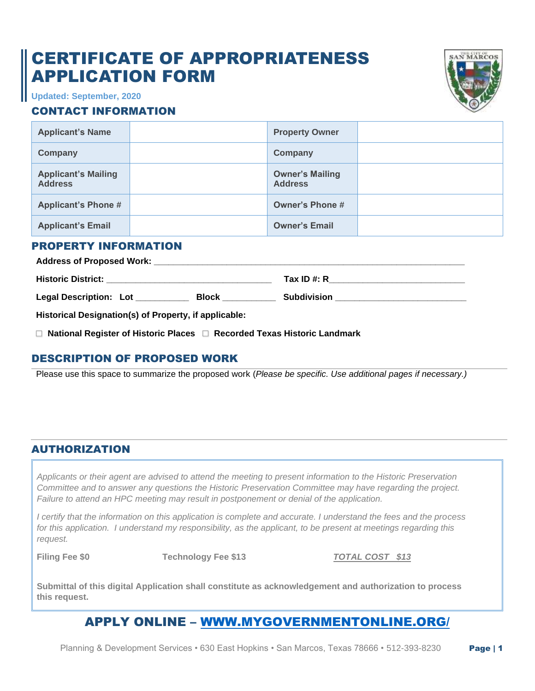# CERTIFICATE OF APPROPRIATENESS APPLICATION FORM



**Updated: September, 2020**

#### CONTACT INFORMATION

| <b>Applicant's Name</b>                      | <b>Property Owner</b>                    |  |
|----------------------------------------------|------------------------------------------|--|
| Company                                      | Company                                  |  |
| <b>Applicant's Mailing</b><br><b>Address</b> | <b>Owner's Mailing</b><br><b>Address</b> |  |
| <b>Applicant's Phone #</b>                   | <b>Owner's Phone #</b>                   |  |
| <b>Applicant's Email</b>                     | <b>Owner's Email</b>                     |  |

#### PROPERTY INFORMATION

| <b>Address of Proposed Work:</b>                                                                               |              |                    |  |  |
|----------------------------------------------------------------------------------------------------------------|--------------|--------------------|--|--|
| <b>Historic District:</b>                                                                                      |              | Tax ID #: $R$      |  |  |
| Legal Description: Lot                                                                                         | <b>Block</b> | <b>Subdivision</b> |  |  |
| al Participal de la Regional de la contrata de la Regional de la contrata de la contrata de la contrata del co |              |                    |  |  |

**Historical Designation(s) of Property, if applicable:** 

*□* **National Register of Historic Places** *□* **Recorded Texas Historic Landmark**

#### DESCRIPTION OF PROPOSED WORK

Please use this space to summarize the proposed work (*Please be specific. Use additional pages if necessary.)*

#### AUTHORIZATION

*Applicants or their agent are advised to attend the meeting to present information to the Historic Preservation Committee and to answer any questions the Historic Preservation Committee may have regarding the project. Failure to attend an HPC meeting may result in postponement or denial of the application.*

*I certify that the information on this application is complete and accurate. I understand the fees and the process for this application. I understand my responsibility, as the applicant, to be present at meetings regarding this request.*

**Filing Fee \$0 Technology Fee \$13** *TOTAL COST \$13*

**Submittal of this digital Application shall constitute as acknowledgement and authorization to process this request.**

### APPLY ONLINE – [WWW.MYGOVERNMENTONLINE.ORG/](https://www.mygovernmentonline.org/)

Planning & Development Services • 630 East Hopkins • San Marcos, Texas 78666 • 512-393-8230 Page | 1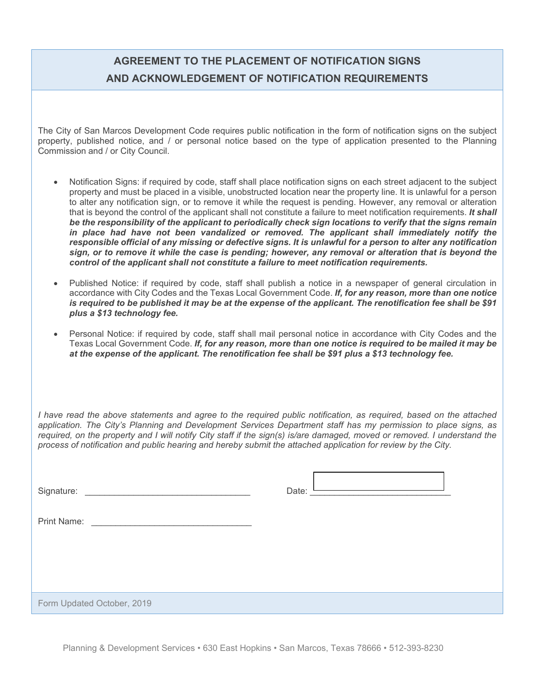## **AGREEMENT TO THE PLACEMENT OF NOTIFICATION SIGNS AND ACKNOWLEDGEMENT OF NOTIFICATION REQUIREMENTS**

The City of San Marcos Development Code requires public notification in the form of notification signs on the subject property, published notice, and / or personal notice based on the type of application presented to the Planning Commission and / or City Council.

- Notification Signs: if required by code, staff shall place notification signs on each street adjacent to the subject property and must be placed in a visible, unobstructed location near the property line. It is unlawful for a person to alter any notification sign, or to remove it while the request is pending. However, any removal or alteration that is beyond the control of the applicant shall not constitute a failure to meet notification requirements. *It shall be the responsibility of the applicant to periodically check sign locations to verify that the signs remain in place had have not been vandalized or removed. The applicant shall immediately notify the responsible official of any missing or defective signs. It is unlawful for a person to alter any notification sign, or to remove it while the case is pending; however, any removal or alteration that is beyond the control of the applicant shall not constitute a failure to meet notification requirements.*
- Published Notice: if required by code, staff shall publish a notice in a newspaper of general circulation in accordance with City Codes and the Texas Local Government Code. *If, for any reason, more than one notice is required to be published it may be at the expense of the applicant. The renotification fee shall be \$91 plus a \$13 technology fee.*
- Personal Notice: if required by code, staff shall mail personal notice in accordance with City Codes and the Texas Local Government Code. *If, for any reason, more than one notice is required to be mailed it may be at the expense of the applicant. The renotification fee shall be \$91 plus a \$13 technology fee.*

*I have read the above statements and agree to the required public notification, as required, based on the attached application. The City's Planning and Development Services Department staff has my permission to place signs, as required, on the property and I will notify City staff if the sign(s) is/are damaged, moved or removed. I understand the process of notification and public hearing and hereby submit the attached application for review by the City.* 

| $\sim$<br>510 | <b>STATISTICS</b><br>Jate<br>---- |  |
|---------------|-----------------------------------|--|
|               |                                   |  |

| <b>Print Name:</b> |
|--------------------|
|--------------------|

Form Updated October, 2019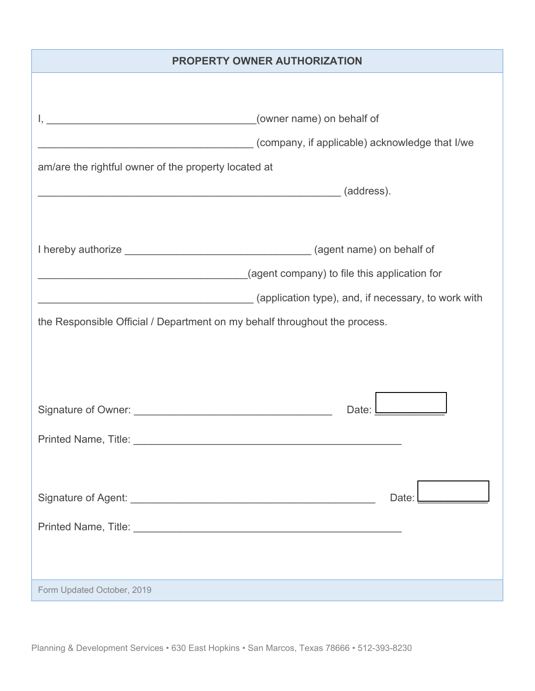#### **PROPERTY OWNER AUTHORIZATION**

|                                                                                                                                                                                                                               | (company, if applicable) acknowledge that I/we |
|-------------------------------------------------------------------------------------------------------------------------------------------------------------------------------------------------------------------------------|------------------------------------------------|
| am/are the rightful owner of the property located at                                                                                                                                                                          |                                                |
| dentification of the contract of the contract of the contract of the contract of the contract of the contract of the contract of the contract of the contract of the contract of the contract of the contract of the contract |                                                |
|                                                                                                                                                                                                                               |                                                |
|                                                                                                                                                                                                                               |                                                |
|                                                                                                                                                                                                                               |                                                |
|                                                                                                                                                                                                                               |                                                |
|                                                                                                                                                                                                                               |                                                |
| the Responsible Official / Department on my behalf throughout the process.                                                                                                                                                    |                                                |
|                                                                                                                                                                                                                               |                                                |
|                                                                                                                                                                                                                               |                                                |
|                                                                                                                                                                                                                               |                                                |
|                                                                                                                                                                                                                               | Date: L                                        |
|                                                                                                                                                                                                                               |                                                |
|                                                                                                                                                                                                                               |                                                |
|                                                                                                                                                                                                                               |                                                |
|                                                                                                                                                                                                                               |                                                |
|                                                                                                                                                                                                                               | Date:                                          |
|                                                                                                                                                                                                                               |                                                |
|                                                                                                                                                                                                                               |                                                |
|                                                                                                                                                                                                                               |                                                |
| Form Updated October, 2019                                                                                                                                                                                                    |                                                |